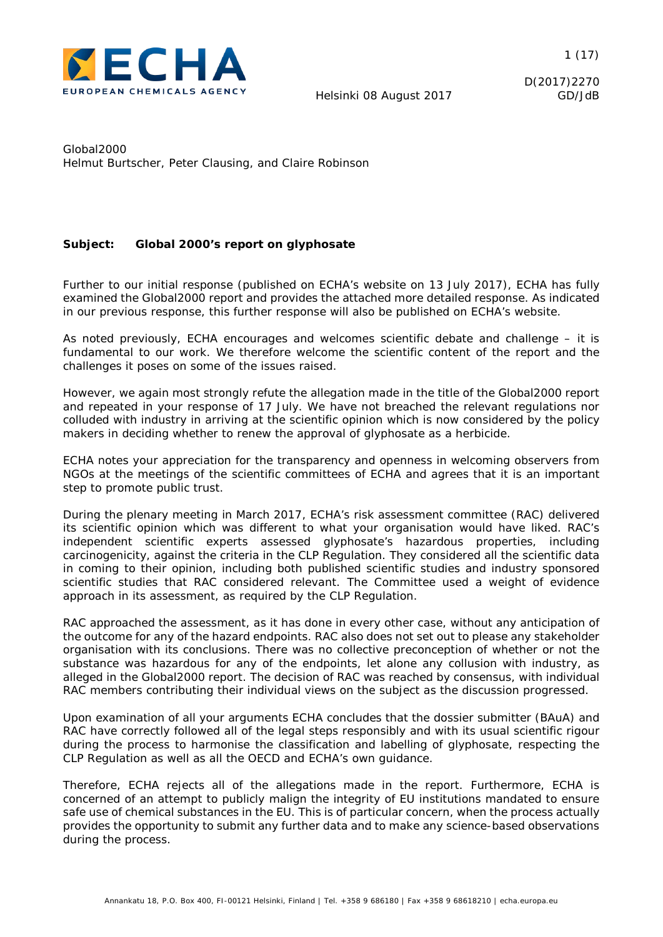

D(2017)2270

Global2000 Helmut Burtscher, Peter Clausing, and Claire Robinson

#### **Subject: Global 2000's report on glyphosate**

Further to our initial response (published on ECHA's website on 13 July 2017), ECHA has fully examined the Global2000 report and provides the attached more detailed response. As indicated in our previous response, this further response will also be published on ECHA's website.

As noted previously, ECHA encourages and welcomes scientific debate and challenge – it is fundamental to our work. We therefore welcome the scientific content of the report and the challenges it poses on some of the issues raised.

However, we again most strongly refute the allegation made in the title of the Global2000 report and repeated in your response of 17 July. We have not breached the relevant regulations nor colluded with industry in arriving at the scientific opinion which is now considered by the policy makers in deciding whether to renew the approval of glyphosate as a herbicide.

ECHA notes your appreciation for the transparency and openness in welcoming observers from NGOs at the meetings of the scientific committees of ECHA and agrees that it is an important step to promote public trust.

During the plenary meeting in March 2017, ECHA's risk assessment committee (RAC) delivered its scientific opinion which was different to what your organisation would have liked. RAC's independent scientific experts assessed glyphosate's hazardous properties, including carcinogenicity, against the criteria in the CLP Regulation. They considered all the scientific data in coming to their opinion, including both published scientific studies and industry sponsored scientific studies that RAC considered relevant. The Committee used a weight of evidence approach in its assessment, as required by the CLP Regulation.

RAC approached the assessment, as it has done in every other case, without any anticipation of the outcome for any of the hazard endpoints. RAC also does not set out to please any stakeholder organisation with its conclusions. There was no collective preconception of whether or not the substance was hazardous for any of the endpoints, let alone any collusion with industry, as alleged in the Global2000 report. The decision of RAC was reached by consensus, with individual RAC members contributing their individual views on the subject as the discussion progressed.

Upon examination of all your arguments ECHA concludes that the dossier submitter (BAuA) and RAC have correctly followed all of the legal steps responsibly and with its usual scientific rigour during the process to harmonise the classification and labelling of glyphosate, respecting the CLP Regulation as well as all the OECD and ECHA's own guidance.

Therefore, ECHA rejects all of the allegations made in the report. Furthermore, ECHA is concerned of an attempt to publicly malign the integrity of EU institutions mandated to ensure safe use of chemical substances in the EU. This is of particular concern, when the process actually provides the opportunity to submit any further data and to make any science-based observations during the process.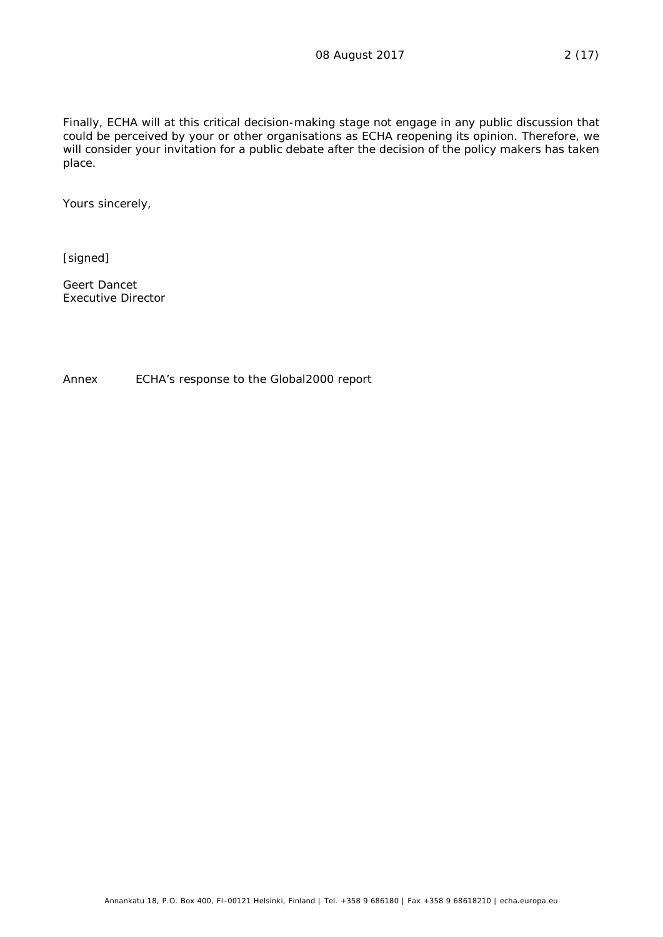Finally, ECHA will at this critical decision-making stage not engage in any public discussion that could be perceived by your or other organisations as ECHA reopening its opinion. Therefore, we will consider your invitation for a public debate after the decision of the policy makers has taken place.

Yours sincerely,

[signed]

Geert Dancet Executive Director

Annex ECHA's response to the Global2000 report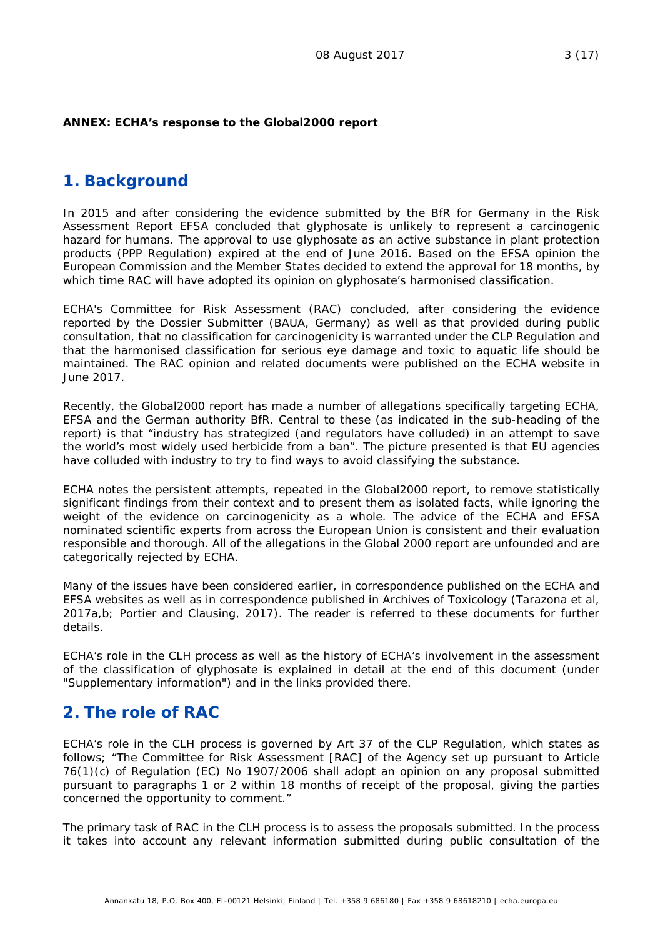#### **ANNEX: ECHA's response to the Global2000 report**

#### **1. Background**

In 2015 and after considering the evidence submitted by the BfR for Germany in the Risk Assessment Report EFSA concluded that glyphosate is unlikely to represent a carcinogenic hazard for humans. The approval to use glyphosate as an active substance in plant protection products (PPP Regulation) expired at the end of June 2016. Based on the EFSA opinion the European Commission and the Member States decided to extend the approval for 18 months, by which time RAC will have adopted its opinion on glyphosate's harmonised classification.

ECHA's Committee for Risk Assessment (RAC) concluded, after considering the evidence reported by the Dossier Submitter (BAUA, Germany) as well as that provided during public consultation, that no classification for carcinogenicity is warranted under the CLP Regulation and that the harmonised classification for serious eye damage and toxic to aquatic life should be maintained. The RAC opinion and related documents were published on the ECHA website in June 2017.

Recently, the Global2000 report has made a number of allegations specifically targeting ECHA, EFSA and the German authority BfR. Central to these (as indicated in the sub-heading of the report) is that "industry has strategized (and regulators have colluded) in an attempt to save the world's most widely used herbicide from a ban". The picture presented is that EU agencies have colluded with industry to try to find ways to avoid classifying the substance.

ECHA notes the persistent attempts, repeated in the Global2000 report, to remove statistically significant findings from their context and to present them as isolated facts, while ignoring the weight of the evidence on carcinogenicity as a whole. The advice of the ECHA and EFSA nominated scientific experts from across the European Union is consistent and their evaluation responsible and thorough. All of the allegations in the Global 2000 report are unfounded and are categorically rejected by ECHA.

Many of the issues have been considered earlier, in correspondence published on the ECHA and EFSA websites as well as in correspondence published in Archives of Toxicology (Tarazona *et al*, 2017a,b; Portier and Clausing, 2017). The reader is referred to these documents for further details.

ECHA's role in the CLH process as well as the history of ECHA's involvement in the assessment of the classification of glyphosate is explained in detail at the end of this document (under "Supplementary information") and in the links provided there.

## **2. The role of RAC**

ECHA's role in the CLH process is governed by Art 37 of the CLP Regulation, which states as follows; "*The Committee for Risk Assessment [RAC] of the Agency set up pursuant to Article 76(1)(c) of Regulation (EC) No 1907/2006 shall adopt an opinion on any proposal submitted pursuant to paragraphs 1 or 2 within 18 months of receipt of the proposal, giving the parties concerned the opportunity to comment*."

The primary task of RAC in the CLH process is to assess the proposals submitted. In the process it takes into account any relevant information submitted during public consultation of the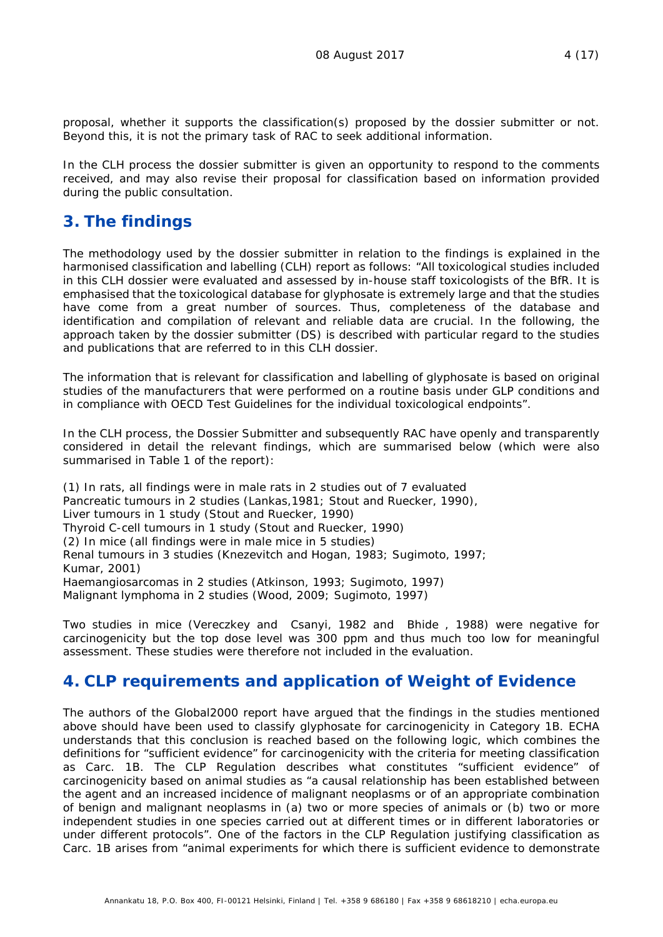proposal, whether it supports the classification(s) proposed by the dossier submitter or not. Beyond this, it is not the primary task of RAC to seek additional information.

In the CLH process the dossier submitter is given an opportunity to respond to the comments received, and may also revise their proposal for classification based on information provided during the public consultation.

# **3. The findings**

The methodology used by the dossier submitter in relation to the findings is explained in the harmonised classification and labelling (CLH) report as follows: "*All toxicological studies included in this CLH dossier were evaluated and assessed by in-house staff toxicologists of the BfR. It is emphasised that the toxicological database for glyphosate is extremely large and that the studies have come from a great number of sources. Thus, completeness of the database and identification and compilation of relevant and reliable data are crucial. In the following, the approach taken by the dossier submitter (DS) is described with particular regard to the studies and publications that are referred to in this CLH dossier.*

*The information that is relevant for classification and labelling of glyphosate is based on original studies of the manufacturers that were performed on a routine basis under GLP conditions and in compliance with OECD Test Guidelines for the individual toxicological endpoints*".

In the CLH process, the Dossier Submitter and subsequently RAC have openly and transparently considered in detail the relevant findings, which are summarised below (which were also summarised in Table 1 of the report):

(1) In rats, all findings were in male rats in 2 studies out of 7 evaluated Pancreatic tumours in 2 studies (Lankas, 1981; Stout and Ruecker, 1990), Liver tumours in 1 study (Stout and Ruecker, 1990) Thyroid C-cell tumours in 1 study (Stout and Ruecker, 1990) (2) In mice (all findings were in male mice in 5 studies) Renal tumours in 3 studies (Knezevitch and Hogan, 1983; Sugimoto, 1997; Kumar, 2001) Haemangiosarcomas in 2 studies (Atkinson, 1993; Sugimoto, 1997) Malignant lymphoma in 2 studies (Wood, 2009; Sugimoto, 1997)

Two studies in mice (Vereczkey and Csanyi, 1982 and Bhide , 1988) were negative for carcinogenicity but the top dose level was 300 ppm and thus much too low for meaningful assessment. These studies were therefore not included in the evaluation.

## **4. CLP requirements and application of Weight of Evidence**

The authors of the Global2000 report have argued that the findings in the studies mentioned above should have been used to classify glyphosate for carcinogenicity in Category 1B. ECHA understands that this conclusion is reached based on the following logic, which combines the definitions for "sufficient evidence" for carcinogenicity with the criteria for meeting classification as Carc. 1B. The CLP Regulation describes what constitutes "sufficient evidence" of carcinogenicity based on animal studies as "a causal relationship has been established between the agent and an increased incidence of malignant neoplasms or of an appropriate combination of benign and malignant neoplasms in (a) two or more species of animals or (b) two or more independent studies in one species carried out at different times or in different laboratories or under different protocols". One of the factors in the CLP Regulation justifying classification as Carc. 1B arises from "animal experiments for which there is sufficient evidence to demonstrate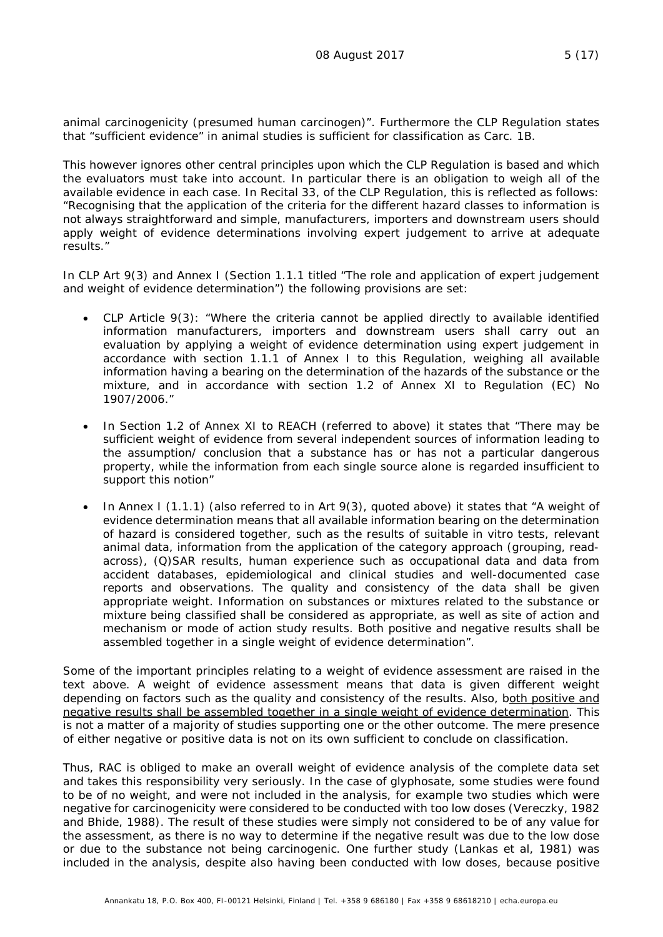animal carcinogenicity (presumed human carcinogen)". Furthermore the CLP Regulation states that "sufficient evidence" in animal studies is sufficient for classification as Carc. 1B.

This however ignores other central principles upon which the CLP Regulation is based and which the evaluators must take into account. In particular there is an obligation to weigh all of the available evidence in each case. In Recital 33, of the CLP Regulation, this is reflected as follows: "*Recognising that the application of the criteria for the different hazard classes to information is not always straightforward and simple, manufacturers, importers and downstream users should apply weight of evidence determinations involving expert judgement to arrive at adequate results*."

In CLP Art 9(3) and Annex I (Section 1.1.1 titled "*The role and application of expert judgement and weight of evidence determination*") the following provisions are set:

- CLP Article 9(3): *"Where the criteria cannot be applied directly to available identified information manufacturers, importers and downstream users shall carry out an evaluation by applying a weight of evidence determination using expert judgement in accordance with section 1.1.1 of Annex I to this Regulation, weighing all available information having a bearing on the determination of the hazards of the substance or the mixture, and in accordance with section 1.2 of Annex XI to Regulation (EC) No 1907/2006*."
- In Section 1.2 of Annex XI to REACH (referred to above) it states that "*There may be sufficient weight of evidence from several independent sources of information leading to the assumption/ conclusion that a substance has or has not a particular dangerous property, while the information from each single source alone is regarded insufficient to support this notion*"
- In Annex I (1.1.1) (also referred to in Art 9(3), quoted above) it states that "*A weight of evidence determination means that all available information bearing on the determination of hazard is considered together, such as the results of suitable in vitro tests, relevant animal data, information from the application of the category approach (grouping, readacross), (Q)SAR results, human experience such as occupational data and data from accident databases, epidemiological and clinical studies and well-documented case reports and observations. The quality and consistency of the data shall be given appropriate weight. Information on substances or mixtures related to the substance or mixture being classified shall be considered as appropriate, as well as site of action and mechanism or mode of action study results. Both positive and negative results shall be assembled together in a single weight of evidence determination*".

Some of the important principles relating to a weight of evidence assessment are raised in the text above. A weight of evidence assessment means that data is given different weight depending on factors such as the quality and consistency of the results. Also, both positive and negative results shall be assembled together in a single weight of evidence determination. This is not a matter of a majority of studies supporting one or the other outcome. The mere presence of either negative or positive data is not on its own sufficient to conclude on classification.

Thus, RAC is obliged to make an overall weight of evidence analysis of the complete data set and takes this responsibility very seriously. In the case of glyphosate, some studies were found to be of no weight, and were not included in the analysis, for example two studies which were negative for carcinogenicity were considered to be conducted with too low doses (Vereczky, 1982 and Bhide, 1988). The result of these studies were simply not considered to be of any value for the assessment, as there is no way to determine if the negative result was due to the low dose or due to the substance not being carcinogenic. One further study (Lankas *et al*, 1981) was included in the analysis, despite also having been conducted with low doses, because positive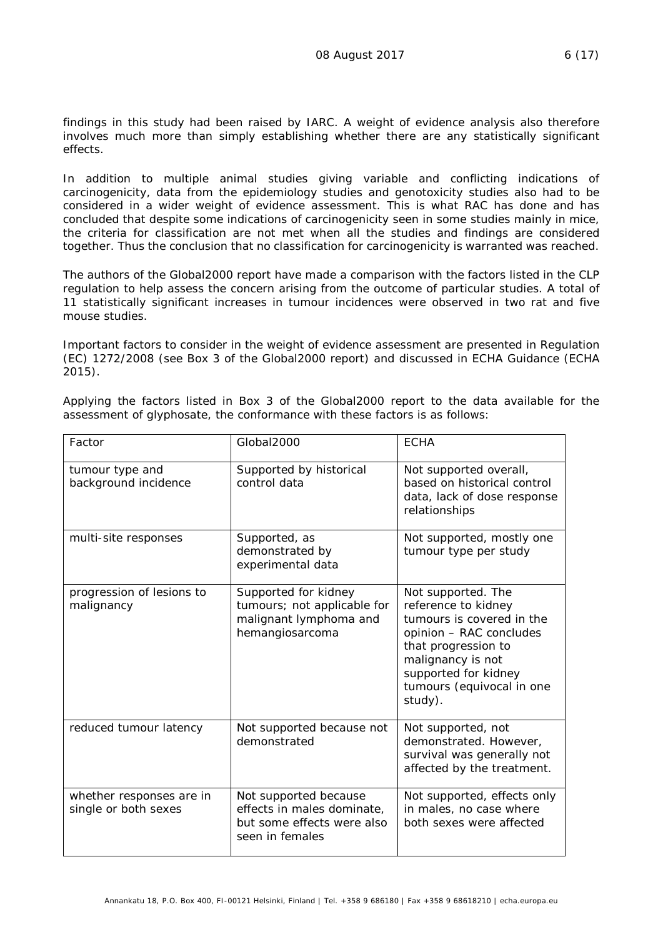findings in this study had been raised by IARC. A weight of evidence analysis also therefore involves much more than simply establishing whether there are any statistically significant effects.

In addition to multiple animal studies giving variable and conflicting indications of carcinogenicity, data from the epidemiology studies and genotoxicity studies also had to be considered in a wider weight of evidence assessment. This is what RAC has done and has concluded that despite some indications of carcinogenicity seen in some studies mainly in mice, the criteria for classification are not met when all the studies and findings are considered together. Thus the conclusion that no classification for carcinogenicity is warranted was reached.

The authors of the Global2000 report have made a comparison with the factors listed in the CLP regulation to help assess the concern arising from the outcome of particular studies. A total of 11 statistically significant increases in tumour incidences were observed in two rat and five mouse studies.

Important factors to consider in the weight of evidence assessment are presented in Regulation (EC) 1272/2008 (see Box 3 of the Global2000 report) and discussed in ECHA Guidance (ECHA 2015).

Applying the factors listed in Box 3 of the Global2000 report to the data available for the assessment of glyphosate, the conformance with these factors is as follows:

| Factor                                           | Global2000                                                                                           | <b>ECHA</b>                                                                                                                                                                                                   |
|--------------------------------------------------|------------------------------------------------------------------------------------------------------|---------------------------------------------------------------------------------------------------------------------------------------------------------------------------------------------------------------|
| tumour type and<br>background incidence          | Supported by historical<br>control data                                                              | Not supported overall,<br>based on historical control<br>data, lack of dose response<br>relationships                                                                                                         |
| multi-site responses                             | Supported, as<br>demonstrated by<br>experimental data                                                | Not supported, mostly one<br>tumour type per study                                                                                                                                                            |
| progression of lesions to<br>malignancy          | Supported for kidney<br>tumours; not applicable for<br>malignant lymphoma and<br>hemangiosarcoma     | Not supported. The<br>reference to kidney<br>tumours is covered in the<br>opinion - RAC concludes<br>that progression to<br>malignancy is not<br>supported for kidney<br>tumours (equivocal in one<br>study). |
| reduced tumour latency                           | Not supported because not<br>demonstrated                                                            | Not supported, not<br>demonstrated. However,<br>survival was generally not<br>affected by the treatment.                                                                                                      |
| whether responses are in<br>single or both sexes | Not supported because<br>effects in males dominate,<br>but some effects were also<br>seen in females | Not supported, effects only<br>in males, no case where<br>both sexes were affected                                                                                                                            |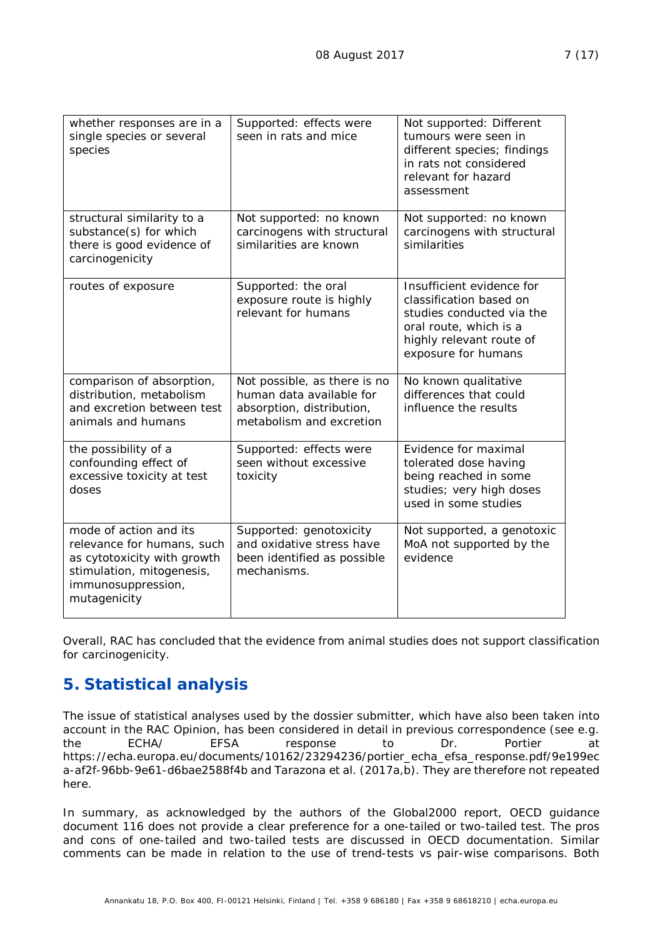| whether responses are in a<br>single species or several<br>species                                                                                     | Supported: effects were<br>seen in rats and mice                                                                  | Not supported: Different<br>tumours were seen in<br>different species; findings<br>in rats not considered<br>relevant for hazard<br>assessment                 |
|--------------------------------------------------------------------------------------------------------------------------------------------------------|-------------------------------------------------------------------------------------------------------------------|----------------------------------------------------------------------------------------------------------------------------------------------------------------|
| structural similarity to a<br>substance(s) for which<br>there is good evidence of<br>carcinogenicity                                                   | Not supported: no known<br>carcinogens with structural<br>similarities are known                                  | Not supported: no known<br>carcinogens with structural<br>similarities                                                                                         |
| routes of exposure                                                                                                                                     | Supported: the oral<br>exposure route is highly<br>relevant for humans                                            | Insufficient evidence for<br>classification based on<br>studies conducted via the<br>oral route, which is a<br>highly relevant route of<br>exposure for humans |
| comparison of absorption,<br>distribution, metabolism<br>and excretion between test<br>animals and humans                                              | Not possible, as there is no<br>human data available for<br>absorption, distribution,<br>metabolism and excretion | No known qualitative<br>differences that could<br>influence the results                                                                                        |
| the possibility of a<br>confounding effect of<br>excessive toxicity at test<br>doses                                                                   | Supported: effects were<br>seen without excessive<br>toxicity                                                     | Evidence for maximal<br>tolerated dose having<br>being reached in some<br>studies; very high doses<br>used in some studies                                     |
| mode of action and its<br>relevance for humans, such<br>as cytotoxicity with growth<br>stimulation, mitogenesis,<br>immunosuppression,<br>mutagenicity | Supported: genotoxicity<br>and oxidative stress have<br>been identified as possible<br>mechanisms.                | Not supported, a genotoxic<br>MoA not supported by the<br>evidence                                                                                             |

Overall, RAC has concluded that the evidence from animal studies does not support classification for carcinogenicity.

## **5. Statistical analysis**

The issue of statistical analyses used by the dossier submitter, which have also been taken into account in the RAC Opinion, has been considered in detail in previous correspondence (see e.g. the ECHA/ EFSA response to Dr. Portier at https://echa.europa.eu/documents/10162/23294236/portier\_echa\_efsa\_response.pdf/9e199ec a-af2f-96bb-9e61-d6bae2588f4b and Tarazona *et al*. (2017a,b). They are therefore not repeated here.

In summary, as acknowledged by the authors of the Global2000 report, OECD guidance document 116 does not provide a clear preference for a one-tailed or two-tailed test. The pros and cons of one-tailed and two-tailed tests are discussed in OECD documentation. Similar comments can be made in relation to the use of trend-tests vs pair-wise comparisons. Both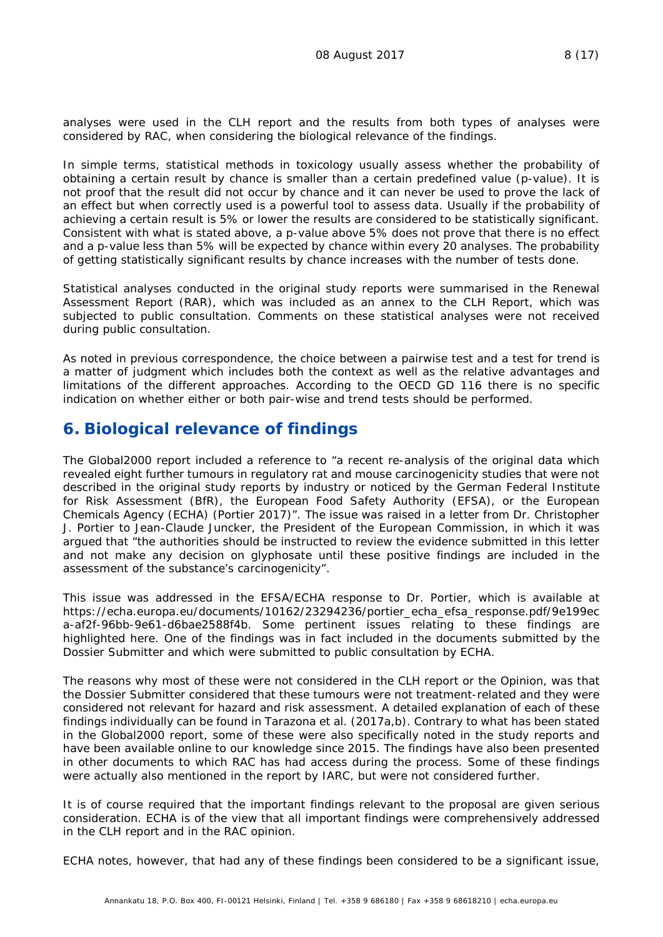analyses were used in the CLH report and the results from both types of analyses were considered by RAC, when considering the biological relevance of the findings.

In simple terms, statistical methods in toxicology usually assess whether the probability of obtaining a certain result by chance is smaller than a certain predefined value (p-value). It is not proof that the result did not occur by chance and it can never be used to prove the lack of an effect but when correctly used is a powerful tool to assess data. Usually if the probability of achieving a certain result is 5% or lower the results are considered to be statistically significant. Consistent with what is stated above, a p-value above 5% does not prove that there is no effect and a p-value less than 5% will be expected by chance within every 20 analyses. The probability of getting statistically significant results by chance increases with the number of tests done.

Statistical analyses conducted in the original study reports were summarised in the Renewal Assessment Report (RAR), which was included as an annex to the CLH Report, which was subjected to public consultation. Comments on these statistical analyses were not received during public consultation.

As noted in previous correspondence, the choice between a pairwise test and a test for trend is a matter of judgment which includes both the context as well as the relative advantages and limitations of the different approaches. According to the OECD GD 116 there is no specific indication on whether either or both pair-wise and trend tests should be performed.

## **6. Biological relevance of findings**

The Global2000 report included a reference to "*a recent re-analysis of the original data which revealed eight further tumours in regulatory rat and mouse carcinogenicity studies that were not described in the original study reports by industry or noticed by the German Federal Institute for Risk Assessment (BfR), the European Food Safety Authority (EFSA), or the European Chemicals Agency (ECHA) (Portier 2017)"*. The issue was raised in a letter from Dr. Christopher J. Portier to Jean-Claude Juncker, the President of the European Commission, in which it was argued that "*the authorities should be instructed to review the evidence submitted in this letter and not make any decision on glyphosate until these positive findings are included in the assessment of the substance's carcinogenicity*".

This issue was addressed in the EFSA/ECHA response to Dr. Portier, which is available at https://echa.europa.eu/documents/10162/23294236/portier\_echa\_efsa\_response.pdf/9e199ec a-af2f-96bb-9e61-d6bae2588f4b. Some pertinent issues relating to these findings are highlighted here. One of the findings was in fact included in the documents submitted by the Dossier Submitter and which were submitted to public consultation by ECHA.

The reasons why most of these were not considered in the CLH report or the Opinion, was that the Dossier Submitter considered that these tumours were not treatment-related and they were considered not relevant for hazard and risk assessment. A detailed explanation of each of these findings individually can be found in Tarazona *et al*. (2017a,b). Contrary to what has been stated in the Global2000 report, some of these were also specifically noted in the study reports and have been available online to our knowledge since 2015. The findings have also been presented in other documents to which RAC has had access during the process. Some of these findings were actually also mentioned in the report by IARC, but were not considered further.

It is of course required that the important findings relevant to the proposal are given serious consideration. ECHA is of the view that all important findings were comprehensively addressed in the CLH report and in the RAC opinion.

ECHA notes, however, that had any of these findings been considered to be a significant issue,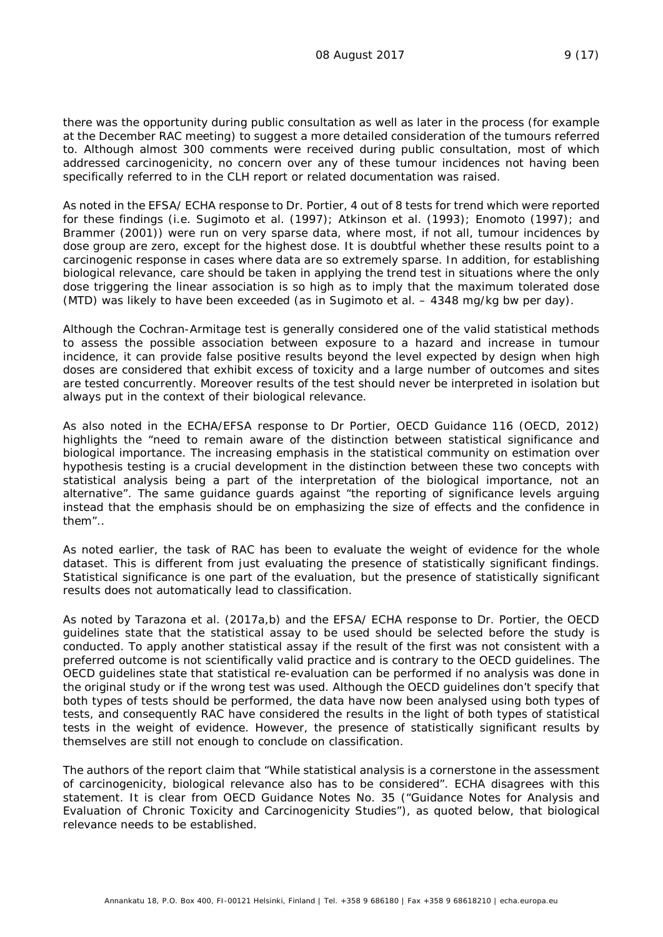there was the opportunity during public consultation as well as later in the process (for example at the December RAC meeting) to suggest a more detailed consideration of the tumours referred to. Although almost 300 comments were received during public consultation, most of which addressed carcinogenicity, no concern over any of these tumour incidences not having been specifically referred to in the CLH report or related documentation was raised.

As noted in the EFSA/ ECHA response to Dr. Portier, 4 out of 8 tests for trend which were reported for these findings (i.e. Sugimoto et al. (1997); Atkinson et al. (1993); Enomoto (1997); and Brammer (2001)) were run on very sparse data, where most, if not all, tumour incidences by dose group are zero, except for the highest dose. It is doubtful whether these results point to a carcinogenic response in cases where data are so extremely sparse. In addition, for establishing biological relevance, care should be taken in applying the trend test in situations where the only dose triggering the linear association is so high as to imply that the maximum tolerated dose (MTD) was likely to have been exceeded (as in Sugimoto et al. – 4348 mg/kg bw per day).

Although the Cochran-Armitage test is generally considered one of the valid statistical methods to assess the possible association between exposure to a hazard and increase in tumour incidence, it can provide false positive results beyond the level expected by design when high doses are considered that exhibit excess of toxicity and a large number of outcomes and sites are tested concurrently. Moreover results of the test should never be interpreted in isolation but always put in the context of their biological relevance.

As also noted in the ECHA/EFSA response to Dr Portier, OECD Guidance 116 (OECD, 2012) highlights the "*need to remain aware of the distinction between statistical significance and biological importance. The increasing emphasis in the statistical community on estimation over hypothesis testing is a crucial development in the distinction between these two concepts with statistical analysis being a part of the interpretation of the biological importance, not an alternative*". The same guidance guards against "*the reporting of significance levels arguing instead that the emphasis should be on emphasizing the size of effects and the confidence in them".*.

As noted earlier, the task of RAC has been to evaluate the weight of evidence for the whole dataset. This is different from just evaluating the presence of statistically significant findings. Statistical significance is one part of the evaluation, but the presence of statistically significant results does not automatically lead to classification.

As noted by Tarazona *et al.* (2017a,b) and the EFSA/ ECHA response to Dr. Portier, the OECD guidelines state that the statistical assay to be used should be selected before the study is conducted. To apply another statistical assay if the result of the first was not consistent with a preferred outcome is not scientifically valid practice and is contrary to the OECD guidelines. The OECD guidelines state that statistical re-evaluation can be performed if no analysis was done in the original study or if the wrong test was used. Although the OECD guidelines don't specify that both types of tests should be performed, the data have now been analysed using both types of tests, and consequently RAC have considered the results in the light of both types of statistical tests in the weight of evidence. However, the presence of statistically significant results by themselves are still not enough to conclude on classification.

The authors of the report claim that "While statistical analysis is a cornerstone in the assessment of carcinogenicity, biological relevance also has to be considered". ECHA disagrees with this statement. It is clear from OECD Guidance Notes No. 35 ("Guidance Notes for Analysis and Evaluation of Chronic Toxicity and Carcinogenicity Studies"), as quoted below, that biological relevance needs to be established.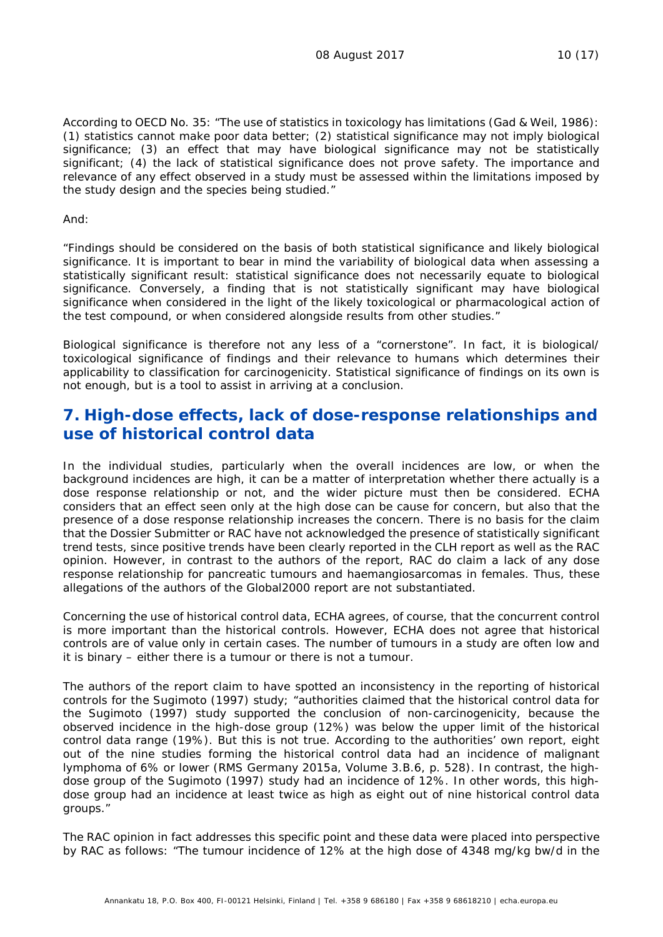According to OECD No. 35: "*The use of statistics in toxicology has limitations (Gad & Weil, 1986): (1) statistics cannot make poor data better; (2) statistical significance may not imply biological significance; (3) an effect that may have biological significance may not be statistically significant; (4) the lack of statistical significance does not prove safety. The importance and relevance of any effect observed in a study must be assessed within the limitations imposed by the study design and the species being studied*."

And:

"*Findings should be considered on the basis of both statistical significance and likely biological significance. It is important to bear in mind the variability of biological data when assessing a statistically significant result: statistical significance does not necessarily equate to biological significance. Conversely, a finding that is not statistically significant may have biological significance when considered in the light of the likely toxicological or pharmacological action of the test compound, or when considered alongside results from other studies."*

Biological significance is therefore not any less of a "cornerstone". In fact, it is biological/ toxicological significance of findings and their relevance to humans which determines their applicability to classification for carcinogenicity. Statistical significance of findings on its own is not enough, but is a tool to assist in arriving at a conclusion.

## **7. High-dose effects, lack of dose-response relationships and use of historical control data**

In the individual studies, particularly when the overall incidences are low, or when the background incidences are high, it can be a matter of interpretation whether there actually is a dose response relationship or not, and the wider picture must then be considered. ECHA considers that an effect seen only at the high dose can be cause for concern, but also that the presence of a dose response relationship increases the concern. There is no basis for the claim that the Dossier Submitter or RAC have not acknowledged the presence of statistically significant trend tests, since positive trends have been clearly reported in the CLH report as well as the RAC opinion. However, in contrast to the authors of the report, RAC do claim a lack of any dose response relationship for pancreatic tumours and haemangiosarcomas in females. Thus, these allegations of the authors of the Global2000 report are not substantiated.

Concerning the use of historical control data, ECHA agrees, of course, that the concurrent control is more important than the historical controls. However, ECHA does not agree that historical controls are of value only in certain cases. The number of tumours in a study are often low and it is binary – either there is a tumour or there is not a tumour.

The authors of the report claim to have spotted an inconsistency in the reporting of historical controls for the Sugimoto (1997) study; "*authorities claimed that the historical control data for the Sugimoto (1997) study supported the conclusion of non-carcinogenicity, because the observed incidence in the high-dose group (12%) was below the upper limit of the historical control data range (19%). But this is not true. According to the authorities' own report, eight out of the nine studies forming the historical control data had an incidence of malignant lymphoma of 6% or lower (RMS Germany 2015a, Volume 3.B.6, p. 528). In contrast, the highdose group of the Sugimoto (1997) study had an incidence of 12%. In other words, this highdose group had an incidence at least twice as high as eight out of nine historical control data groups*."

The RAC opinion in fact addresses this specific point and these data were placed into perspective by RAC as follows: "*The tumour incidence of 12% at the high dose of 4348 mg/kg bw/d in the*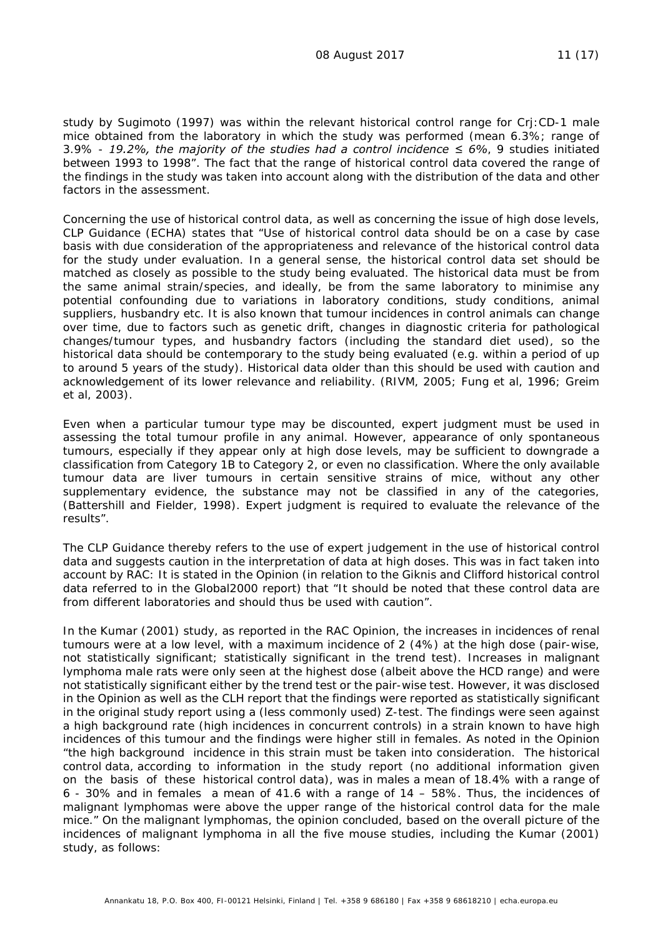*study by Sugimoto (1997) was within the relevant historical control range for Crj:CD-1 male mice obtained from the laboratory in which the study was performed (mean 6.3%; range of 3.9% - 19.2%, the majority of the studies had a control incidence ≤ 6%, 9 studies initiated between 1993 to 1998*". The fact that the range of historical control data covered the range of the findings in the study was taken into account along with the distribution of the data and other factors in the assessment.

Concerning the use of historical control data, as well as concerning the issue of high dose levels, CLP Guidance (ECHA) states that "*Use of historical control data should be on a case by case basis with due consideration of the appropriateness and relevance of the historical control data for the study under evaluation. In a general sense, the historical control data set should be matched as closely as possible to the study being evaluated. The historical data must be from the same animal strain/species, and ideally, be from the same laboratory to minimise any potential confounding due to variations in laboratory conditions, study conditions, animal suppliers, husbandry etc. It is also known that tumour incidences in control animals can change over time, due to factors such as genetic drift, changes in diagnostic criteria for pathological changes/tumour types, and husbandry factors (including the standard diet used), so the historical data should be contemporary to the study being evaluated (e.g. within a period of up to around 5 years of the study). Historical data older than this should be used with caution and acknowledgement of its lower relevance and reliability. (RIVM, 2005; Fung et al, 1996; Greim et al, 2003).*

*Even when a particular tumour type may be discounted, expert judgment must be used in assessing the total tumour profile in any animal. However, appearance of only spontaneous tumours, especially if they appear only at high dose levels, may be sufficient to downgrade a classification from Category 1B to Category 2, or even no classification. Where the only available tumour data are liver tumours in certain sensitive strains of mice, without any other supplementary evidence, the substance may not be classified in any of the categories, (Battershill and Fielder, 1998). Expert judgment is required to evaluate the relevance of the results*".

The CLP Guidance thereby refers to the use of expert judgement in the use of historical control data and suggests caution in the interpretation of data at high doses. This was in fact taken into account by RAC: It is stated in the Opinion (in relation to the Giknis and Clifford historical control data referred to in the Global2000 report) that "*It should be noted that these control data are from different laboratories and should thus be used with caution*".

In the Kumar (2001) study, as reported in the RAC Opinion, the increases in incidences of renal tumours were at a low level, with a maximum incidence of 2 (4%) at the high dose (pair-wise, not statistically significant; statistically significant in the trend test). Increases in malignant lymphoma male rats were only seen at the highest dose (albeit above the HCD range) and were not statistically significant either by the trend test or the pair-wise test. However, it was disclosed in the Opinion as well as the CLH report that the findings were reported as statistically significant in the original study report using a (less commonly used) Z-test. The findings were seen against a high background rate (high incidences in concurrent controls) in a strain known to have high incidences of this tumour and the findings were higher still in females. As noted in the Opinion "*the high background incidence in this strain must be taken into consideration. The historical control data, according to information in the study report (no additional information given on the basis of these historical control data), was in males a mean of 18.4% with a range of 6 - 30% and in females a mean of 41.6 with a range of 14 – 58%. Thus, the incidences of malignant lymphomas were above the upper range of the historical control data for the male mice*." On the malignant lymphomas, the opinion concluded, based on the overall picture of the incidences of malignant lymphoma in all the five mouse studies, including the Kumar (2001) study, as follows: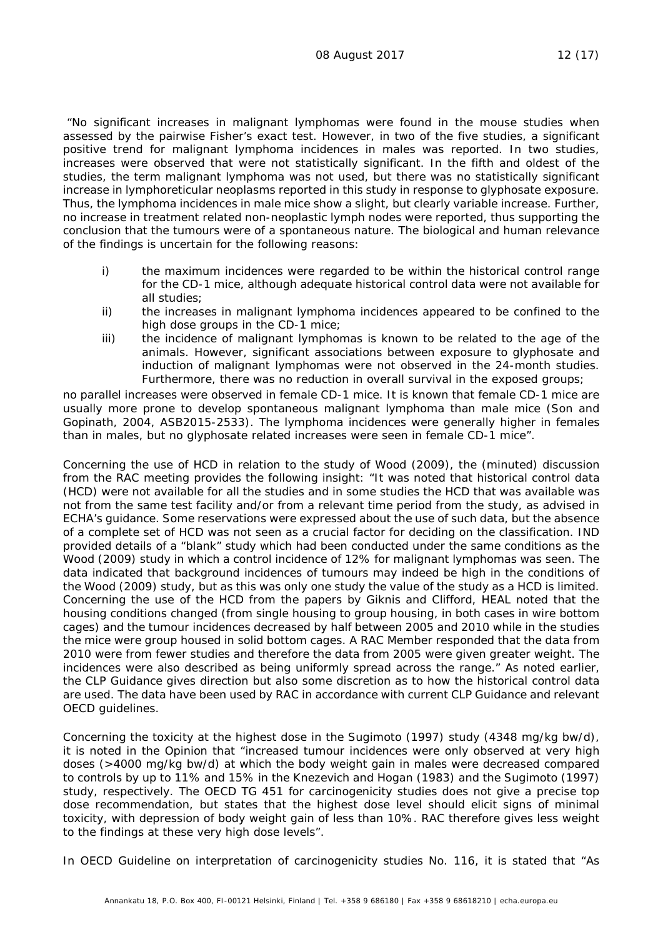"*No significant increases in malignant lymphomas were found in the mouse studies when assessed by the pairwise Fisher's exact test. However, in two of the five studies, a significant positive trend for malignant lymphoma incidences in males was reported. In two studies,*  increases were observed that were not statistically significant. In the fifth and oldest of the *studies, the term malignant lymphoma was not used, but there was no statistically significant increase in lymphoreticular neoplasms reported in this study in response to glyphosate exposure. Thus, the lymphoma incidences in male mice show a slight, but clearly variable increase. Further, no increase in treatment related non-neoplastic lymph nodes were reported, thus supporting the conclusion that the tumours were of a spontaneous nature. The biological and human relevance of the findings is uncertain for the following reasons:*

- *i) the maximum incidences were regarded to be within the historical control range for the CD-1 mice, although adequate historical control data were not available for all studies;*
- *ii) the increases in malignant lymphoma incidences appeared to be confined to the high dose groups in the CD-1 mice;*
- *iii) the incidence of malignant lymphomas is known to be related to the age of the animals. However, significant associations between exposure to glyphosate and induction of malignant lymphomas were not observed in the 24-month studies. Furthermore, there was no reduction in overall survival in the exposed groups;*

*no parallel increases were observed in female CD-1 mice. It is known that female CD-1 mice are usually more prone to develop spontaneous malignant lymphoma than male mice (Son and Gopinath, 2004, ASB2015-2533). The lymphoma incidences were generally higher in females than in males, but no glyphosate related increases were seen in female CD-1 mice*".

Concerning the use of HCD in relation to the study of Wood (2009), the (minuted) discussion from the RAC meeting provides the following insight: "*It was noted that historical control data (HCD) were not available for all the studies and in some studies the HCD that was available was not from the same test facility and/or from a relevant time period from the study, as advised in ECHA's guidance. Some reservations were expressed about the use of such data, but the absence of a complete set of HCD was not seen as a crucial factor for deciding on the classification. IND provided details of a "blank" study which had been conducted under the same conditions as the Wood (2009) study in which a control incidence of 12% for malignant lymphomas was seen. The data indicated that background incidences of tumours may indeed be high in the conditions of the Wood (2009) study, but as this was only one study the value of the study as a HCD is limited. Concerning the use of the HCD from the papers by Giknis and Clifford, HEAL noted that the housing conditions changed (from single housing to group housing, in both cases in wire bottom cages) and the tumour incidences decreased by half between 2005 and 2010 while in the studies the mice were group housed in solid bottom cages. A RAC Member responded that the data from 2010 were from fewer studies and therefore the data from 2005 were given greater weight. The incidences were also described as being uniformly spread across the range."* As noted earlier, the CLP Guidance gives direction but also some discretion as to how the historical control data are used. The data have been used by RAC in accordance with current CLP Guidance and relevant OECD guidelines.

Concerning the toxicity at the highest dose in the Sugimoto (1997) study (4348 mg/kg bw/d), it is noted in the Opinion that "*increased tumour incidences were only observed at very high doses (>4000 mg/kg bw/d) at which the body weight gain in males were decreased compared to controls by up to 11% and 15% in the Knezevich and Hogan (1983) and the Sugimoto (1997) study, respectively. The OECD TG 451 for carcinogenicity studies does not give a precise top dose recommendation, but states that the highest dose level should elicit signs of minimal toxicity, with depression of body weight gain of less than 10%. RAC therefore gives less weight to the findings at these very high dose levels*".

In OECD Guideline on interpretation of carcinogenicity studies No. 116, it is stated that "*As*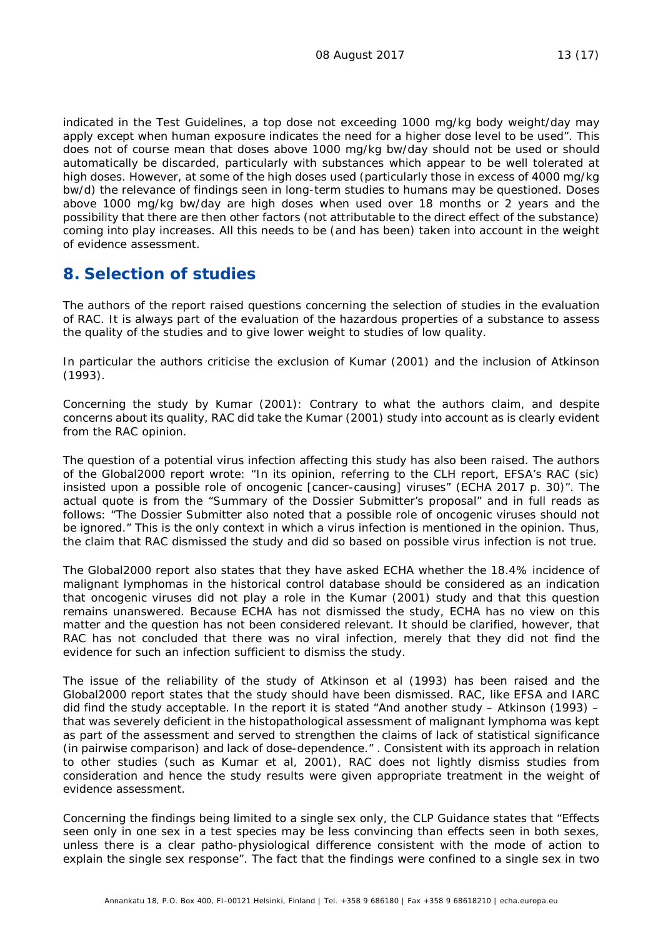*indicated in the Test Guidelines, a top dose not exceeding 1000 mg/kg body weight/day may apply except when human exposure indicates the need for a higher dose level to be used*". This does not of course mean that doses above 1000 mg/kg bw/day should not be used or should automatically be discarded, particularly with substances which appear to be well tolerated at high doses. However, at some of the high doses used (particularly those in excess of 4000 mg/kg bw/d) the relevance of findings seen in long-term studies to humans may be questioned. Doses above 1000 mg/kg bw/day are high doses when used over 18 months or 2 years and the possibility that there are then other factors (not attributable to the direct effect of the substance) coming into play increases. All this needs to be (and has been) taken into account in the weight of evidence assessment.

#### **8. Selection of studies**

The authors of the report raised questions concerning the selection of studies in the evaluation of RAC. It is always part of the evaluation of the hazardous properties of a substance to assess the quality of the studies and to give lower weight to studies of low quality.

In particular the authors criticise the exclusion of Kumar (2001) and the inclusion of Atkinson (1993).

Concerning the study by Kumar (2001): Contrary to what the authors claim, and despite concerns about its quality, RAC did take the Kumar (2001) study into account as is clearly evident from the RAC opinion.

The question of a potential virus infection affecting this study has also been raised. The authors of the Global2000 report wrote: "In its opinion, referring to the CLH report, EFSA's RAC (*sic*) insisted upon a possible role of oncogenic [cancer-causing] viruses" (ECHA 2017 p. 30)". The actual quote is from the "Summary of the Dossier Submitter's proposal" and in full reads as follows: "*The Dossier Submitter also noted that a possible role of oncogenic viruses should not be ignored*." This is the only context in which a virus infection is mentioned in the opinion. Thus, the claim that RAC dismissed the study and did so based on possible virus infection is not true.

The Global2000 report also states that they have asked ECHA whether the 18.4% incidence of malignant lymphomas in the historical control database should be considered as an indication that oncogenic viruses did not play a role in the Kumar (2001) study and that this question remains unanswered. Because ECHA has not dismissed the study, ECHA has no view on this matter and the question has not been considered relevant. It should be clarified, however, that RAC has not concluded that there was no viral infection, merely that they did not find the evidence for such an infection sufficient to dismiss the study.

The issue of the reliability of the study of Atkinson et al (1993) has been raised and the Global2000 report states that the study should have been dismissed. RAC, like EFSA and IARC did find the study acceptable. In the report it is stated "*And another study – Atkinson (1993) – that was severely deficient in the histopathological assessment of malignant lymphoma was kept as part of the assessment and served to strengthen the claims of lack of statistical significance (in pairwise comparison) and lack of dose-dependence*." . Consistent with its approach in relation to other studies (such as Kumar et al, 2001), RAC does not lightly dismiss studies from consideration and hence the study results were given appropriate treatment in the weight of evidence assessment.

Concerning the findings being limited to a single sex only, the CLP Guidance states that "*Effects seen only in one sex in a test species may be less convincing than effects seen in both sexes, unless there is a clear patho-physiological difference consistent with the mode of action to explain the single sex response*". The fact that the findings were confined to a single sex in two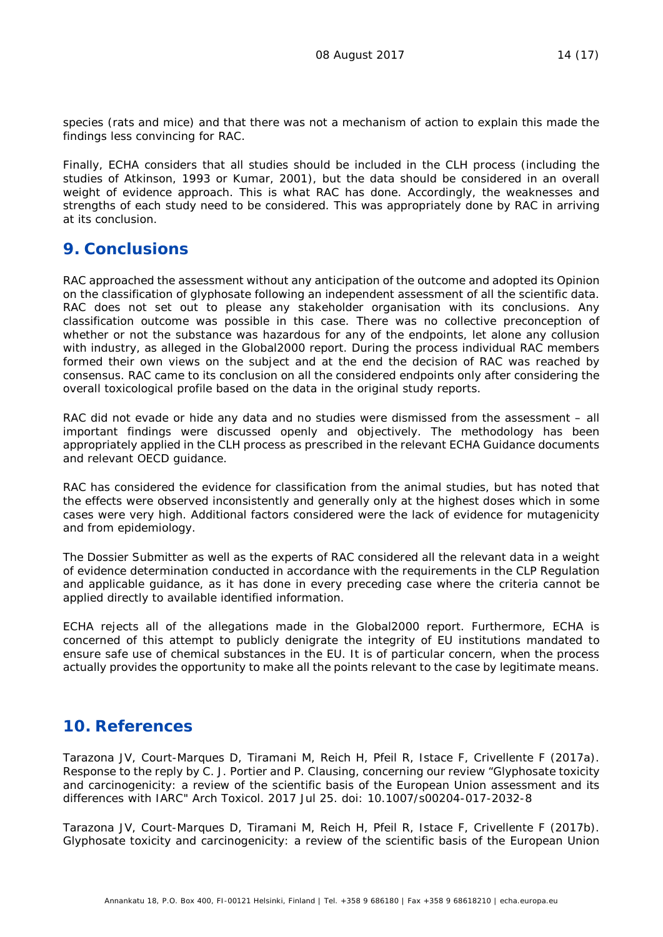species (rats and mice) and that there was not a mechanism of action to explain this made the findings less convincing for RAC.

Finally, ECHA considers that all studies should be included in the CLH process (including the studies of Atkinson, 1993 or Kumar, 2001), but the data should be considered in an overall weight of evidence approach. This is what RAC has done. Accordingly, the weaknesses and strengths of each study need to be considered. This was appropriately done by RAC in arriving at its conclusion.

## **9. Conclusions**

RAC approached the assessment without any anticipation of the outcome and adopted its Opinion on the classification of glyphosate following an independent assessment of all the scientific data. RAC does not set out to please any stakeholder organisation with its conclusions. Any classification outcome was possible in this case. There was no collective preconception of whether or not the substance was hazardous for any of the endpoints, let alone any collusion with industry, as alleged in the Global2000 report. During the process individual RAC members formed their own views on the subject and at the end the decision of RAC was reached by consensus. RAC came to its conclusion on all the considered endpoints only after considering the overall toxicological profile based on the data in the original study reports.

RAC did not evade or hide any data and no studies were dismissed from the assessment – all important findings were discussed openly and objectively. The methodology has been appropriately applied in the CLH process as prescribed in the relevant ECHA Guidance documents and relevant OECD guidance.

RAC has considered the evidence for classification from the animal studies, but has noted that the effects were observed inconsistently and generally only at the highest doses which in some cases were very high. Additional factors considered were the lack of evidence for mutagenicity and from epidemiology.

The Dossier Submitter as well as the experts of RAC considered all the relevant data in a weight of evidence determination conducted in accordance with the requirements in the CLP Regulation and applicable guidance, as it has done in every preceding case where the criteria cannot be applied directly to available identified information.

ECHA rejects all of the allegations made in the Global2000 report. Furthermore, ECHA is concerned of this attempt to publicly denigrate the integrity of EU institutions mandated to ensure safe use of chemical substances in the EU. It is of particular concern, when the process actually provides the opportunity to make all the points relevant to the case by legitimate means.

## **10. References**

Tarazona JV, Court-Marques D, Tiramani M, Reich H, Pfeil R, Istace F, Crivellente F (2017a). Response to the reply by C. J. Portier and P. Clausing, concerning our review "Glyphosate toxicity and carcinogenicity: a review of the scientific basis of the European Union assessment and its differences with IARC" Arch Toxicol. 2017 Jul 25. doi: 10.1007/s00204-017-2032-8

Tarazona JV, Court-Marques D, Tiramani M, Reich H, Pfeil R, Istace F, Crivellente F (2017b). Glyphosate toxicity and carcinogenicity: a review of the scientific basis of the European Union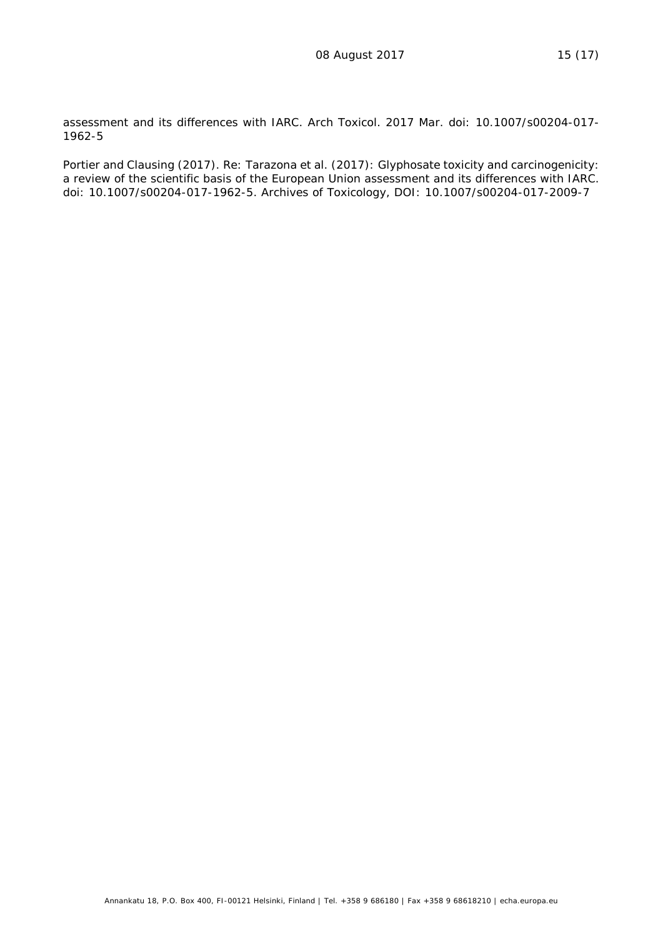assessment and its differences with IARC. Arch Toxicol. 2017 Mar. doi: 10.1007/s00204-017- 1962-5

Portier and Clausing (2017). Re: Tarazona et al. (2017): Glyphosate toxicity and carcinogenicity: a review of the scientific basis of the European Union assessment and its differences with IARC. doi: 10.1007/s00204-017-1962-5. Archives of Toxicology, DOI: 10.1007/s00204-017-2009-7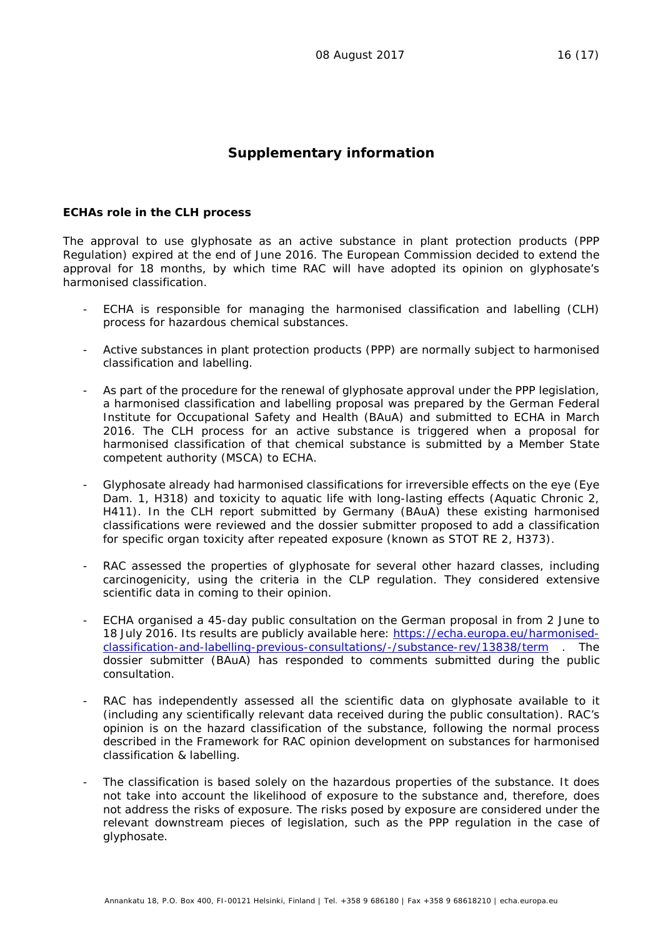#### **Supplementary information**

#### *ECHAs role in the CLH process*

The approval to use glyphosate as an active substance in plant protection products (PPP Regulation) expired at the end of June 2016. The European Commission decided to extend the approval for 18 months, by which time RAC will have adopted its opinion on glyphosate's harmonised classification.

- ECHA is responsible for managing the harmonised classification and labelling (CLH) process for hazardous chemical substances.
- Active substances in plant protection products (PPP) are normally subject to harmonised classification and labelling.
- As part of the procedure for the renewal of glyphosate approval under the PPP legislation, a harmonised classification and labelling proposal was prepared by the German Federal Institute for Occupational Safety and Health (BAuA) and submitted to ECHA in March 2016. The CLH process for an active substance is triggered when a proposal for harmonised classification of that chemical substance is submitted by a Member State competent authority (MSCA) to ECHA.
- Glyphosate already had harmonised classifications for irreversible effects on the eye (Eye Dam. 1, H318) and toxicity to aquatic life with long-lasting effects (Aquatic Chronic 2, H411). In the CLH report submitted by Germany (BAuA) these existing harmonised classifications were reviewed and the dossier submitter proposed to add a classification for specific organ toxicity after repeated exposure (known as STOT RE 2, H373).
- RAC assessed the properties of glyphosate for several other hazard classes, including carcinogenicity, using the criteria in the CLP regulation. They considered extensive scientific data in coming to their opinion.
- ECHA organised a 45-day public consultation on the German proposal in from 2 June to 18 July 2016. Its results are publicly available here: [https://echa.europa.eu/harmonised](https://echa.europa.eu/harmonised-classification-and-labelling-previous-consultations/-/substance-rev/13838/term)[classification-and-labelling-previous-consultations/-/substance-rev/13838/term](https://echa.europa.eu/harmonised-classification-and-labelling-previous-consultations/-/substance-rev/13838/term) . The dossier submitter (BAuA) has responded to comments submitted during the public consultation.
- RAC has independently assessed all the scientific data on glyphosate available to it (including any scientifically relevant data received during the public consultation). RAC's opinion is on the hazard classification of the substance, following the normal process described in the Framework for RAC opinion development on substances for [harmonised](http://echa.europa.eu/documents/10162/13641/wp_rac_processing_clh_dossier_20100526_en.pdf)  [classification & labelling.](http://echa.europa.eu/documents/10162/13641/wp_rac_processing_clh_dossier_20100526_en.pdf)
- The classification is based solely on the hazardous properties of the substance. It does not take into account the likelihood of exposure to the substance and, therefore, does not address the risks of exposure. The risks posed by exposure are considered under the relevant downstream pieces of legislation, such as the PPP regulation in the case of glyphosate.